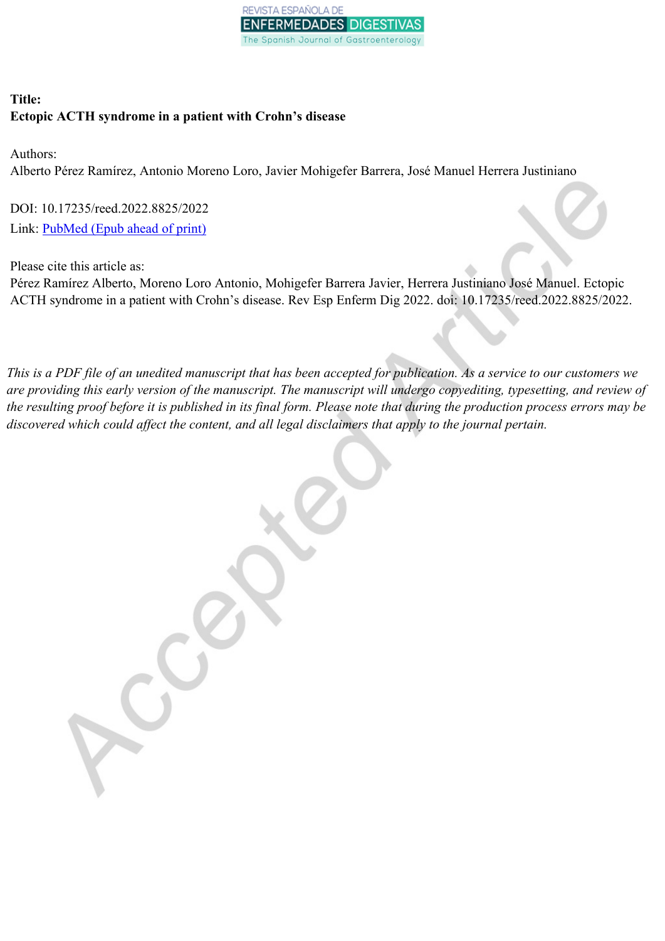

# **Title: Ectopic ACTH syndrome in a patient with Crohn's disease**

Authors:

Alberto Pérez Ramírez, Antonio Moreno Loro, Javier Mohigefer Barrera, José Manuel Herrera Justiniano

DOI: 10.17235/reed.2022.8825/2022 Link: [PubMed](https://www.ncbi.nlm.nih.gov/pubmed/?term=10.17235/reed.2022.8825/2022) (Epub ahead of print)

Please cite this article as:

Pérez Ramírez Alberto, Moreno Loro Antonio, Mohigefer Barrera Javier, Herrera Justiniano José Manuel. Ectopic ACTH syndrome in a patient with Crohn's disease. Rev Esp Enferm Dig 2022. doi: 10.17235/reed.2022.8825/2022.

This is a PDF file of an unedited manuscript that has been accepted for publication. As a service to our customers we are providing this early version of the manuscript. The manuscript will undergo copyediting, typesetting, and review of the resulting proof before it is published in its final form. Please note that during the production process errors may be *discovered which could affect the content, and all legal disclaimers that apply to the journal pertain.*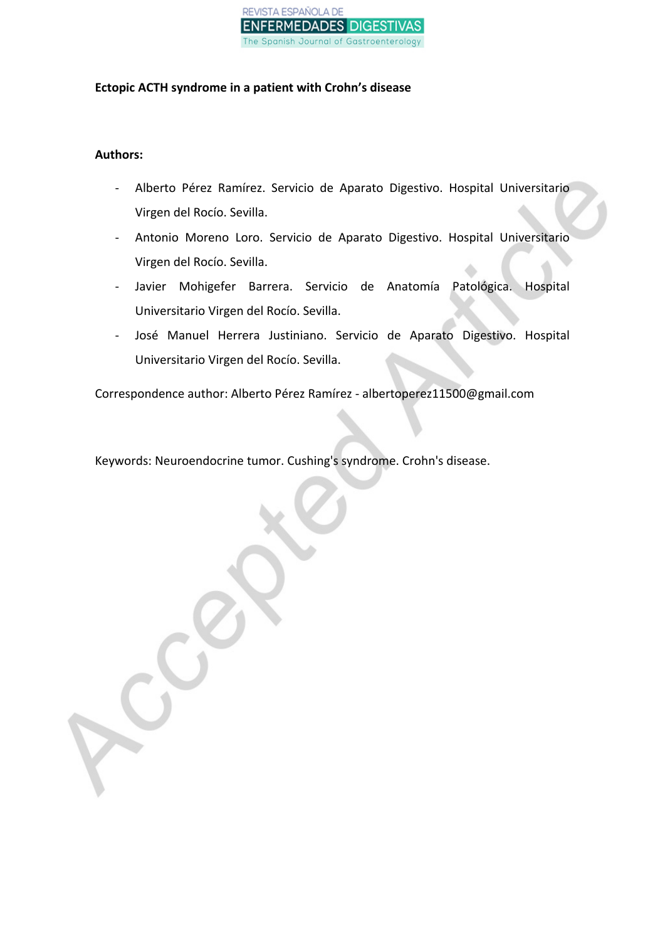

# **Ectopic ACTH syndrome in a patient with Crohn's disease**

# **Authors:**

- Alberto Pérez Ramírez. Servicio de Aparato Digestivo. Hospital Universitario Virgen del Rocío. Sevilla.
- Antonio Moreno Loro. Servicio de Aparato Digestivo. Hospital Universitario Virgen del Rocío. Sevilla.
- Javier Mohigefer Barrera. Servicio de Anatomía Patológica. Hospital Universitario Virgen del Rocío. Sevilla.
- José Manuel Herrera Justiniano. Servicio de Aparato Digestivo. Hospital Universitario Virgen del Rocío. Sevilla.

Correspondence author: Alberto Pérez Ramírez - albertoperez11500@gmail.com

Keywords: Neuroendocrine tumor. Cushing's syndrome. Crohn's disease.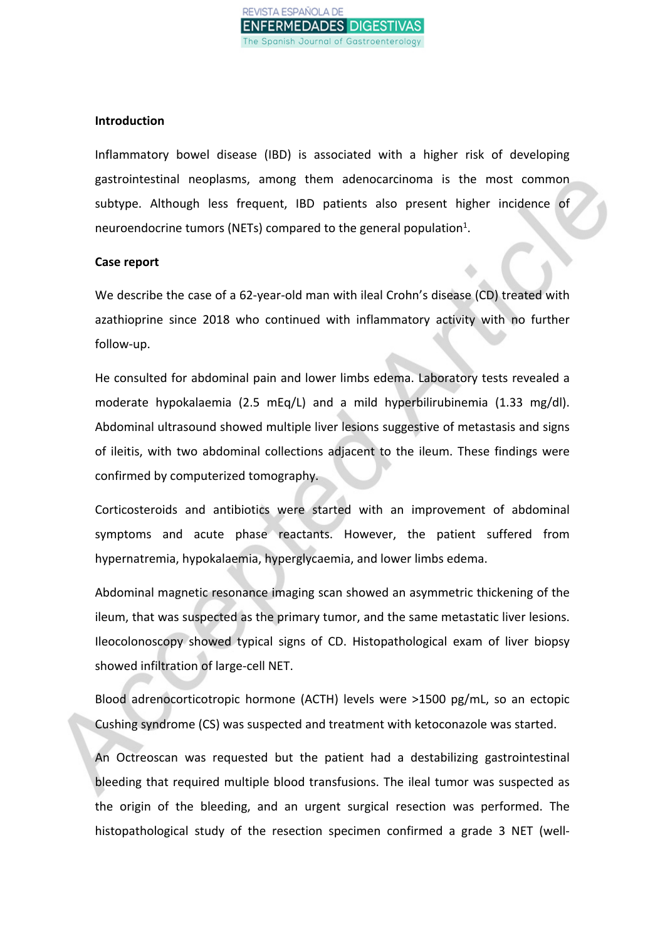

# **Introduction**

Inflammatory bowel disease (IBD) is associated with a higher risk of developing gastrointestinal neoplasms, among them adenocarcinoma is the most common subtype. Although less frequent, IBD patients also present higher incidence of neuroendocrine tumors (NETs) compared to the general population<sup>1</sup>.

# **Case report**

We describe the case of a 62-year-old man with ileal Crohn's disease (CD) treated with azathioprine since 2018 who continued with inflammatory activity with no further follow-up.

He consulted for abdominal pain and lower limbs edema. Laboratory tests revealed a moderate hypokalaemia (2.5 mEq/L) and a mild hyperbilirubinemia (1.33 mg/dl). Abdominal ultrasound showed multiple liver lesions suggestive of metastasis and signs of ileitis, with two abdominal collections adjacent to the ileum. These findings were confirmed by computerized tomography.

Corticosteroids and antibiotics were started with an improvement of abdominal symptoms and acute phase reactants. However, the patient suffered from hypernatremia, hypokalaemia, hyperglycaemia, and lower limbs edema.

Abdominal magnetic resonance imaging scan showed an asymmetric thickening of the ileum, that was suspected as the primary tumor, and the same metastatic liver lesions. Ileocolonoscopy showed typical signs of CD. Histopathological exam of liver biopsy showed infiltration of large-cell NET.

Blood adrenocorticotropic hormone (ACTH) levels were >1500 pg/mL, so an ectopic Cushing syndrome (CS) was suspected and treatment with ketoconazole was started.

An Octreoscan was requested but the patient had a destabilizing gastrointestinal bleeding that required multiple blood transfusions. The ileal tumor was suspected as the origin of the bleeding, and an urgent surgical resection was performed. The histopathological study of the resection specimen confirmed a grade 3 NET (well-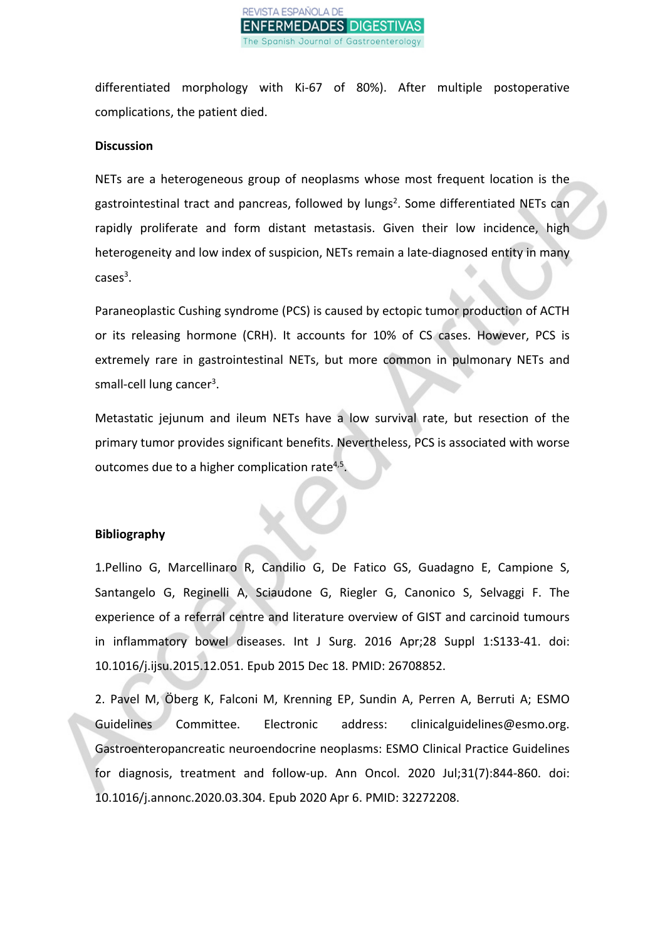

differentiated morphology with Ki-67 of 80%). After multiple postoperative complications, the patient died.

#### **Discussion**

NETs are a heterogeneous group of neoplasms whose most frequent location is the gastrointestinal tract and pancreas, followed by lungs<sup>2</sup>. Some differentiated NETs can rapidly proliferate and form distant metastasis. Given their low incidence, high heterogeneity and low index of suspicion, NETs remain a late-diagnosed entity in many  $cases^3$ .

Paraneoplastic Cushing syndrome (PCS) is caused by ectopic tumor production of ACTH or its releasing hormone (CRH). It accounts for 10% of CS cases. However, PCS is extremely rare in gastrointestinal NETs, but more common in pulmonary NETs and small-cell lung cancer<sup>3</sup>.

Metastatic jejunum and ileum NETs have a low survival rate, but resection of the primary tumor provides significant benefits. Nevertheless, PCS is associated with worse outcomes due to a higher complication rate<sup>4,5</sup>.

#### **Bibliography**

1.Pellino G, Marcellinaro R, Candilio G, De Fatico GS, Guadagno E, Campione S, Santangelo G, Reginelli A, Sciaudone G, Riegler G, Canonico S, Selvaggi F. The experience of a referral centre and literature overview of GIST and carcinoid tumours in inflammatory bowel diseases. Int J Surg. 2016 Apr;28 Suppl 1:S133-41. doi: 10.1016/j.ijsu.2015.12.051. Epub 2015 Dec 18. PMID: 26708852.

2. Pavel M, Öberg K, Falconi M, Krenning EP, Sundin A, Perren A, Berruti A; ESMO Guidelines Committee. Electronic address: clinicalguidelines@esmo.org. Gastroenteropancreatic neuroendocrine neoplasms: ESMO Clinical Practice Guidelines for diagnosis, treatment and follow-up. Ann Oncol. 2020 Jul;31(7):844-860. doi: 10.1016/j.annonc.2020.03.304. Epub 2020 Apr 6. PMID: 32272208.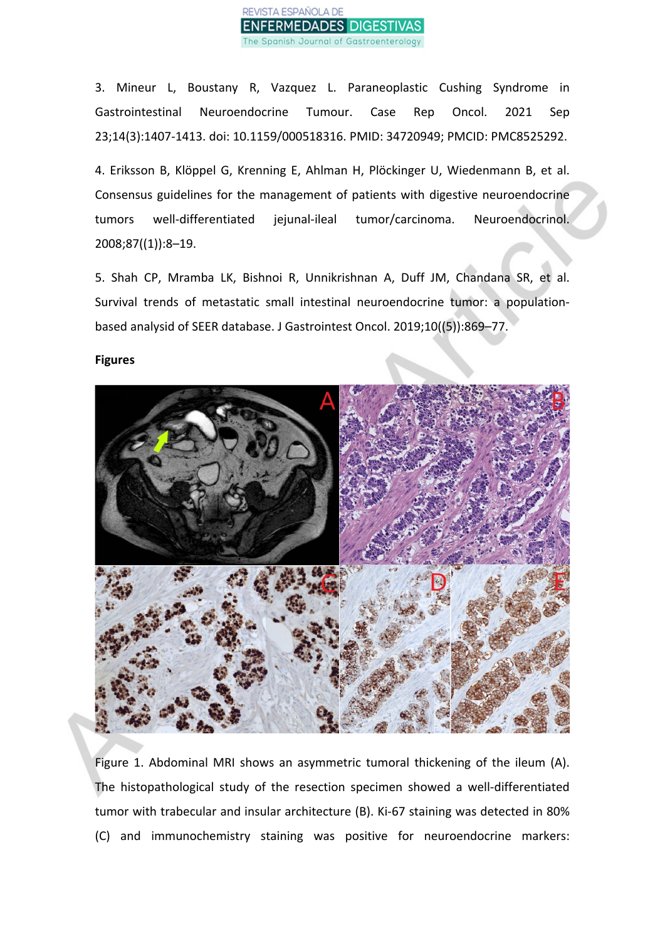

3. Mineur L, Boustany R, Vazquez L. Paraneoplastic Cushing Syndrome in Gastrointestinal Neuroendocrine Tumour. Case Rep Oncol. 2021 Sep 23;14(3):1407-1413. doi: 10.1159/000518316. PMID: 34720949; PMCID: PMC8525292.

4. Eriksson B, Klöppel G, Krenning E, Ahlman H, Plöckinger U, Wiedenmann B, et al. Consensus guidelines for the management of patients with digestive neuroendocrine tumors well-differentiated jejunal-ileal tumor/carcinoma. Neuroendocrinol. 2008;87((1)):8–19.

5. Shah CP, Mramba LK, Bishnoi R, Unnikrishnan A, Duff JM, Chandana SR, et al. Survival trends of metastatic small intestinal neuroendocrine tumor: a populationbased analysid of SEER database. J Gastrointest Oncol. 2019;10((5)):869–77.

#### **Figures**



Figure 1. Abdominal MRI shows an asymmetric tumoral thickening of the ileum (A). The histopathological study of the resection specimen showed a well-differentiated tumor with trabecular and insular architecture (B). Ki-67 staining was detected in 80% (C) and immunochemistry staining was positive for neuroendocrine markers: